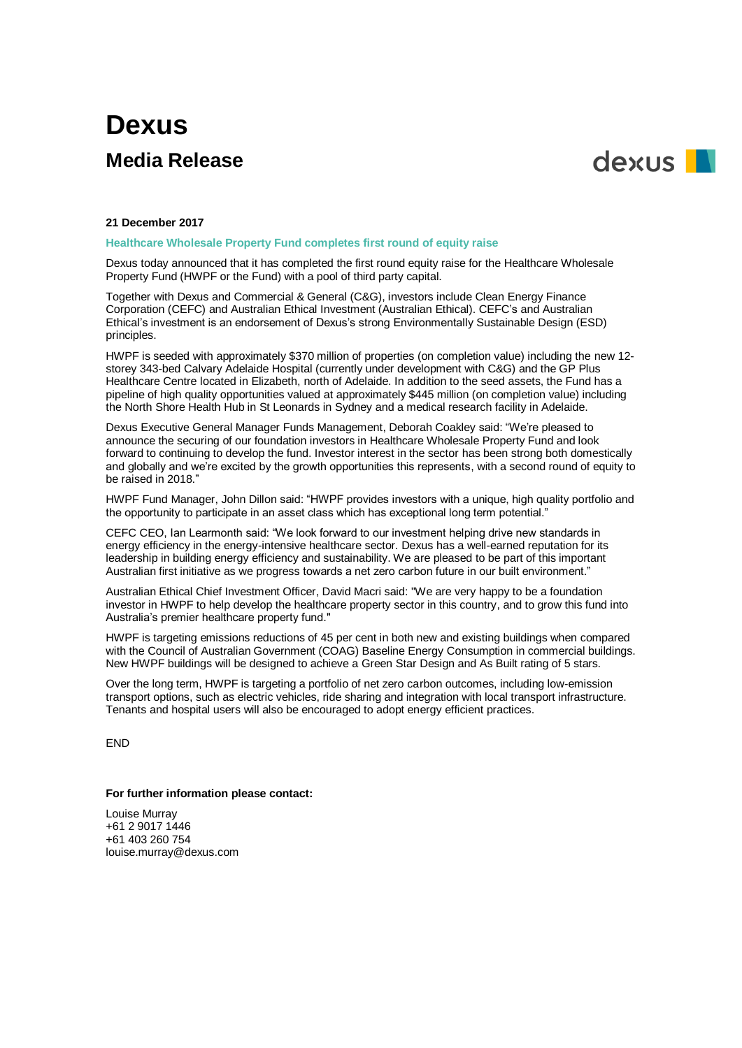## **Dexus Media Release**



## **21 December 2017**

**Healthcare Wholesale Property Fund completes first round of equity raise**

Dexus today announced that it has completed the first round equity raise for the Healthcare Wholesale Property Fund (HWPF or the Fund) with a pool of third party capital.

Together with Dexus and Commercial & General (C&G), investors include Clean Energy Finance Corporation (CEFC) and Australian Ethical Investment (Australian Ethical). CEFC's and Australian Ethical's investment is an endorsement of Dexus's strong Environmentally Sustainable Design (ESD) principles.

HWPF is seeded with approximately \$370 million of properties (on completion value) including the new 12 storey 343-bed Calvary Adelaide Hospital (currently under development with C&G) and the GP Plus Healthcare Centre located in Elizabeth, north of Adelaide. In addition to the seed assets, the Fund has a pipeline of high quality opportunities valued at approximately \$445 million (on completion value) including the North Shore Health Hub in St Leonards in Sydney and a medical research facility in Adelaide.

Dexus Executive General Manager Funds Management, Deborah Coakley said: "We're pleased to announce the securing of our foundation investors in Healthcare Wholesale Property Fund and look forward to continuing to develop the fund. Investor interest in the sector has been strong both domestically and globally and we're excited by the growth opportunities this represents, with a second round of equity to be raised in 2018."

HWPF Fund Manager, John Dillon said: "HWPF provides investors with a unique, high quality portfolio and the opportunity to participate in an asset class which has exceptional long term potential."

CEFC CEO, Ian Learmonth said: "We look forward to our investment helping drive new standards in energy efficiency in the energy-intensive healthcare sector. Dexus has a well-earned reputation for its leadership in building energy efficiency and sustainability. We are pleased to be part of this important Australian first initiative as we progress towards a net zero carbon future in our built environment."

Australian Ethical Chief Investment Officer, David Macri said: "We are very happy to be a foundation investor in HWPF to help develop the healthcare property sector in this country, and to grow this fund into Australia's premier healthcare property fund."

HWPF is targeting emissions reductions of 45 per cent in both new and existing buildings when compared with the Council of Australian Government (COAG) Baseline Energy Consumption in commercial buildings. New HWPF buildings will be designed to achieve a Green Star Design and As Built rating of 5 stars.

Over the long term, HWPF is targeting a portfolio of net zero carbon outcomes, including low-emission transport options, such as electric vehicles, ride sharing and integration with local transport infrastructure. Tenants and hospital users will also be encouraged to adopt energy efficient practices.

END

## **For further information please contact:**

Louise Murray +61 2 9017 1446 +61 403 260 754 louise.murray@dexus.com